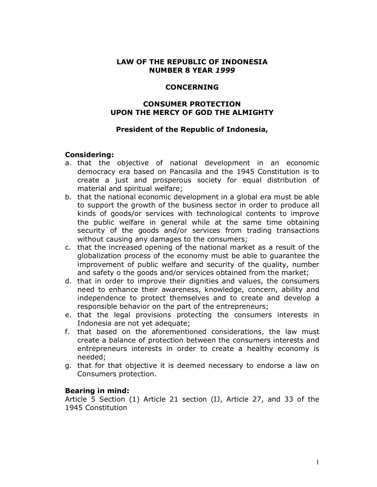### **LAW OF THE REPUBLIC OF INDONESIA NUMBER 8 YEAR** *1999*

#### **CONCERNING**

## **CONSUMER PROTECTION UPON THE MERCY OF GOD THE ALMIGHTY**

### **President of the Republic of Indonesia,**

### **Considering:**

- a. that the objective of national development in an economic democracy era based on Pancasila and the 1945 Constitution is to create a just and prosperous society for equal distribution of material and spiritual welfare;
- b. that the national economic development in a global era must be able to support the growth of the business sector in order to produce all kinds of goods/or services with technological contents to improve the public welfare in general while at the same time obtaining security of the goods and/or services from trading transactions without causing any damages to the consumers;
- c. that the increased opening of the national market as a result of the globalization process of the economy must be able to guarantee the improvement of public welfare and security of the quality, number and safety o the goods and/or services obtained from the market;
- d. that in order to improve their dignities and values, the consumers need to enhance their awareness, knowledge, concern, ability and independence to protect themselves and to create and develop a responsible behavior on the part of the entrepreneurs;
- e. that the legal provisions protecting the consumers interests in Indonesia are not yet adequate;
- f. that based on the aforementioned considerations, the law must create a balance of protection between the consumers interests and entrepreneurs interests in order to create a healthy economy is needed;
- g. that for that objective it is deemed necessary to endorse a law on Consumers protection.

#### **Bearing in mind:**

Article 5 Section (1) Article 21 section (IJ, Article 27, and 33 of the 1945 Constitution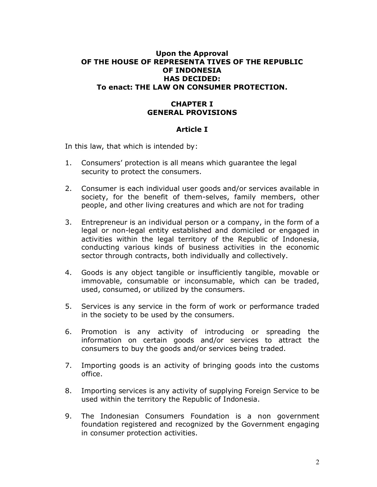## **Upon the Approval OF THE HOUSE OF REPRESENTA TIVES OF THE REPUBLIC OF INDONESIA HAS DECIDED: To enact: THE LAW ON CONSUMER PROTECTION.**

## **CHAPTER I GENERAL PROVISIONS**

## **Article I**

In this law, that which is intended by:

- 1. Consumers' protection is all means which guarantee the legal security to protect the consumers.
- 2. Consumer is each individual user goods and/or services available in society, for the benefit of them-selves, family members, other people, and other living creatures and which are not for trading
- 3. Entrepreneur is an individual person or a company, in the form of a legal or non-legal entity established and domiciled or engaged in activities within the legal territory of the Republic of Indonesia, conducting various kinds of business activities in the economic sector through contracts, both individually and collectively.
- 4. Goods is any object tangible or insufficiently tangible, movable or immovable, consumable or inconsumable, which can be traded, used, consumed, or utilized by the consumers.
- 5. Services is any service in the form of work or performance traded in the society to be used by the consumers.
- 6. Promotion is any activity of introducing or spreading the information on certain goods and/or services to attract the consumers to buy the goods and/or services being traded.
- 7. Importing goods is an activity of bringing goods into the customs office.
- 8. Importing services is any activity of supplying Foreign Service to be used within the territory the Republic of Indonesia.
- 9. The Indonesian Consumers Foundation is a non government foundation registered and recognized by the Government engaging in consumer protection activities.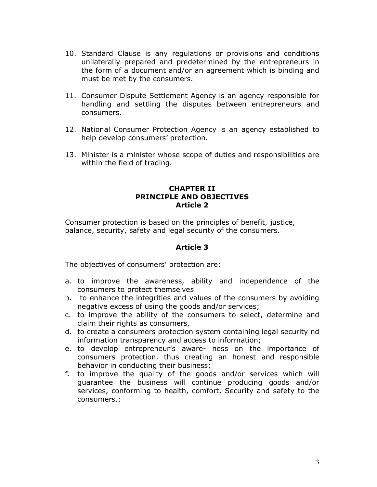- 10. Standard Clause is any regulations or provisions and conditions unilaterally prepared and predetermined by the entrepreneurs in the form of a document and/or an agreement which is binding and must be met by the consumers.
- 11. Consumer Dispute Settlement Agency is an agency responsible for handling and settling the disputes between entrepreneurs and consumers.
- 12. National Consumer Protection Agency is an agency established to help develop consumers' protection.
- 13. Minister is a minister whose scope of duties and responsibilities are within the field of trading.

## **CHAPTER II PRINCIPLE AND OBJECTIVES Article 2**

Consumer protection is based on the principles of benefit, justice, balance, security, safety and legal security of the consumers.

## **Article 3**

The objectives of consumers' protection are:

- a. to improve the awareness, ability and independence of the consumers to protect themselves
- b. to enhance the integrities and values of the consumers by avoiding negative excess of using the goods and/or services;
- c. to improve the ability of the consumers to select, determine and claim their rights as consumers,
- d. to create a consumers protection system containing legal security nd information transparency and access to information;
- e. to develop entrepreneur's aware- ness on the importance of consumers protection. thus creating an honest and responsible behavior in conducting their business;
- f. to improve the quality of the goods and/or services which will guarantee the business will continue producing goods and/or services, conforming to health, comfort, Security and safety to the consumers.;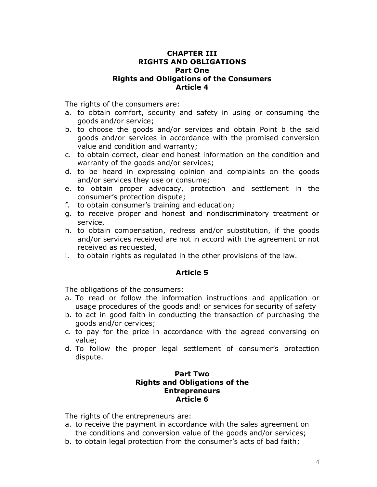## **CHAPTER III RIGHTS AND OBLIGATIONS Part One Rights and Obligations of the Consumers Article 4**

The rights of the consumers are:

- a. to obtain comfort, security and safety in using or consuming the goods and/or service;
- b. to choose the goods and/or services and obtain Point b the said goods and/or services in accordance with the promised conversion value and condition and warranty;
- c. to obtain correct, clear end honest information on the condition and warranty of the goods and/or services;
- d. to be heard in expressing opinion and complaints on the goods and/or services they use or consume;
- e. to obtain proper advocacy, protection and settlement in the consumer's protection dispute;
- f. to obtain consumer's training and education;
- g. to receive proper and honest and nondiscriminatory treatment or service,
- h. to obtain compensation, redress and/or substitution, if the goods and/or services received are not in accord with the agreement or not received as requested,
- i. to obtain rights as regulated in the other provisions of the law.

#### **Article 5**

The obligations of the consumers:

- a. To read or follow the information instructions and application or usage procedures of the goods and! or services for security of safety
- b. to act in good faith in conducting the transaction of purchasing the goods and/or cervices;
- c. to pay for the price in accordance with the agreed conversing on value;
- d. To follow the proper legal settlement of consumer's protection dispute.

### **Part Two Rights and Obligations of the Entrepreneurs Article 6**

The rights of the entrepreneurs are:

- a. to receive the payment in accordance with the sales agreement on the conditions and conversion value of the goods and/or services;
- b. to obtain legal protection from the consumer's acts of bad faith;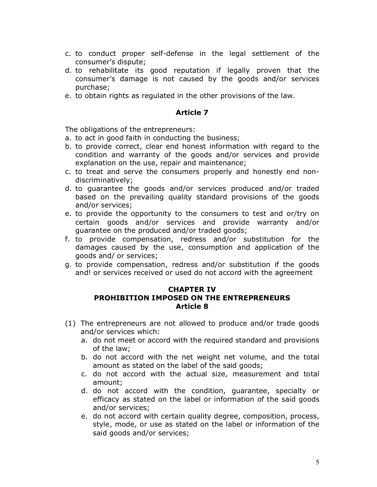- c. to conduct proper self-defense in the legal settlement of the consumer's dispute;
- d. to rehabilitate its good reputation if legally proven that the consumer's damage is not caused by the goods and/or services purchase;
- e. to obtain rights as regulated in the other provisions of the law.

The obligations of the entrepreneurs:

- a. to act in good faith in conducting the business;
- b. to provide correct, clear end honest information with regard to the condition and warranty of the goods and/or services and provide explanation on the use, repair and maintenance;
- c. to treat and serve the consumers properly and honestly end nondiscriminatively;
- d. to guarantee the goods and/or services produced and/or traded based on the prevailing quality standard provisions of the goods and/or services;
- e. to provide the opportunity to the consumers to test and or/try on certain goods and/or services and provide warranty and/or guarantee on the produced and/or traded goods;
- f. to provide compensation, redress and/or substitution for the damages caused by the use, consumption and application of the goods and/ or services;
- g. to provide compensation, redress and/or substitution if the goods and! or services received or used do not accord with the agreement

### **CHAPTER IV PROHIBITION IMPOSED ON THE ENTREPRENEURS Article 8**

- (1) The entrepreneurs are not allowed to produce and/or trade goods and/or services which:
	- a. do not meet or accord with the required standard and provisions of the law;
	- b. do not accord with the net weight net volume, and the total amount as stated on the label of the said goods;
	- c. do not accord with the actual size, measurement and total amount;
	- d. do not accord with the condition, guarantee, specialty or efficacy as stated on the label or information of the said goods and/or services;
	- e. do not accord with certain quality degree, composition, process, style, mode, or use as stated on the label or information of the said goods and/or services;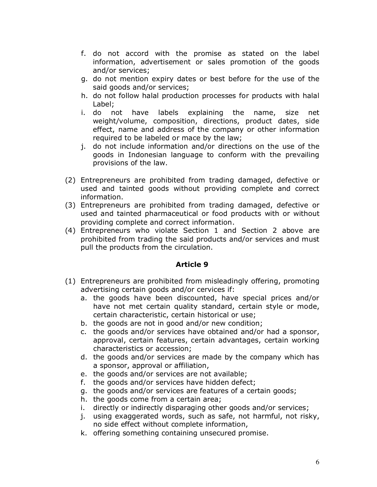- f. do not accord with the promise as stated on the label information, advertisement or sales promotion of the goods and/or services;
- g. do not mention expiry dates or best before for the use of the said goods and/or services;
- h. do not follow halal production processes for products with halal Label;
- i. do not have labels explaining the name, size net weight/volume, composition, directions, product dates, side effect, name and address of the company or other information required to be labeled or mace by the law;
- j. do not include information and/or directions on the use of the goods in Indonesian language to conform with the prevailing provisions of the law.
- (2) Entrepreneurs are prohibited from trading damaged, defective or used and tainted goods without providing complete and correct information.
- (3) Entrepreneurs are prohibited from trading damaged, defective or used and tainted pharmaceutical or food products with or without providing complete and correct information.
- (4) Entrepreneurs who violate Section 1 and Section 2 above are prohibited from trading the said products and/or services and must pull the products from the circulation.

- (1) Entrepreneurs are prohibited from misleadingly offering, promoting advertising certain goods and/or cervices if:
	- a. the goods have been discounted, have special prices and/or have not met certain quality standard, certain style or mode, certain characteristic, certain historical or use;
	- b. the goods are not in good and/or new condition;
	- c. the goods and/or services have obtained and/or had a sponsor, approval, certain features, certain advantages, certain working characteristics or accession;
	- d. the goods and/or services are made by the company which has a sponsor, approval or affiliation,
	- e. the goods and/or services are not available;
	- f. the goods and/or services have hidden defect;
	- g. the goods and/or services are features of a certain goods;
	- h. the goods come from a certain area;
	- i. directly or indirectly disparaging other goods and/or services;
	- j. using exaggerated words, such as safe, not harmful, not risky, no side effect without complete information,
	- k. offering something containing unsecured promise.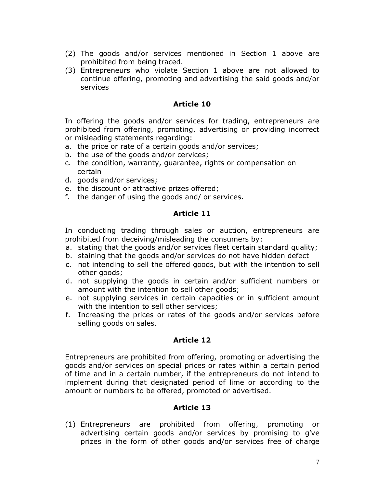- (2) The goods and/or services mentioned in Section 1 above are prohibited from being traced.
- (3) Entrepreneurs who violate Section 1 above are not allowed to continue offering, promoting and advertising the said goods and/or services

In offering the goods and/or services for trading, entrepreneurs are prohibited from offering, promoting, advertising or providing incorrect or misleading statements regarding:

- a. the price or rate of a certain goods and/or services;
- b. the use of the goods and/or cervices;
- c. the condition, warranty, guarantee, rights or compensation on certain
- d. goods and/or services;
- e. the discount or attractive prizes offered;
- f. the danger of using the goods and/ or services.

## **Article 11**

In conducting trading through sales or auction, entrepreneurs are prohibited from deceiving/misleading the consumers by:

- a. stating that the goods and/or services fleet certain standard quality;
- b. staining that the goods and/or services do not have hidden defect
- c. not intending to sell the offered goods, but with the intention to sell other goods;
- d. not supplying the goods in certain and/or sufficient numbers or amount with the intention to sell other goods;
- e. not supplying services in certain capacities or in sufficient amount with the intention to sell other services;
- f. Increasing the prices or rates of the goods and/or services before selling goods on sales.

## **Article 12**

Entrepreneurs are prohibited from offering, promoting or advertising the goods and/or services on special prices or rates within a certain period of time and in a certain number, if the entrepreneurs do not intend to implement during that designated period of lime or according to the amount or numbers to be offered, promoted or advertised.

## **Article 13**

(1) Entrepreneurs are prohibited from offering, promoting or advertising certain goods and/or services by promising to g've prizes in the form of other goods and/or services free of charge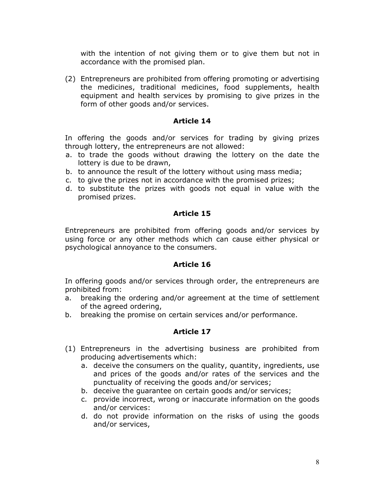with the intention of not giving them or to give them but not in accordance with the promised plan.

(2) Entrepreneurs are prohibited from offering promoting or advertising the medicines, traditional medicines, food supplements, health equipment and health services by promising to give prizes in the form of other goods and/or services.

## **Article 14**

In offering the goods and/or services for trading by giving prizes through lottery, the entrepreneurs are not allowed:

- a. to trade the goods without drawing the lottery on the date the lottery is due to be drawn,
- b. to announce the result of the lottery without using mass media;
- c. to give the prizes not in accordance with the promised prizes;
- d. to substitute the prizes with goods not equal in value with the promised prizes.

## **Article 15**

Entrepreneurs are prohibited from offering goods and/or services by using force or any other methods which can cause either physical or psychological annoyance to the consumers.

## **Article 16**

In offering goods and/or services through order, the entrepreneurs are prohibited from:

- a. breaking the ordering and/or agreement at the time of settlement of the agreed ordering,
- b. breaking the promise on certain services and/or performance.

- (1) Entrepreneurs in the advertising business are prohibited from producing advertisements which:
	- a. deceive the consumers on the quality, quantity, ingredients, use and prices of the goods and/or rates of the services and the punctuality of receiving the goods and/or services;
	- b. deceive the guarantee on certain goods and/or services;
	- c. provide incorrect, wrong or inaccurate information on the goods and/or cervices:
	- d. do not provide information on the risks of using the goods and/or services,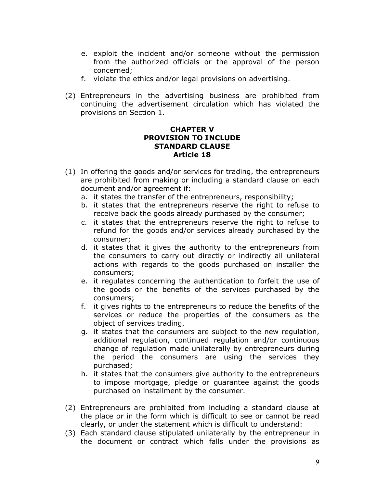- e. exploit the incident and/or someone without the permission from the authorized officials or the approval of the person concerned;
- f. violate the ethics and/or legal provisions on advertising.
- (2) Entrepreneurs in the advertising business are prohibited from continuing the advertisement circulation which has violated the provisions on Section 1.

## **CHAPTER V PROVISION TO INCLUDE STANDARD CLAUSE Article 18**

- (1) In offering the goods and/or services for trading, the entrepreneurs are prohibited from making or including a standard clause on each document and/or agreement if:
	- a. it states the transfer of the entrepreneurs, responsibility;
	- b. it states that the entrepreneurs reserve the right to refuse to receive back the goods already purchased by the consumer;
	- c. it states that the entrepreneurs reserve the right to refuse to refund for the goods and/or services already purchased by the consumer;
	- d. it states that it gives the authority to the entrepreneurs from the consumers to carry out directly or indirectly all unilateral actions with regards to the goods purchased on installer the consumers;
	- e. it regulates concerning the authentication to forfeit the use of the goods or the benefits of the services purchased by the consumers;
	- f. it gives rights to the entrepreneurs to reduce the benefits of the services or reduce the properties of the consumers as the object of services trading,
	- g. it states that the consumers are subject to the new regulation, additional regulation, continued regulation and/or continuous change of regulation made unilaterally by entrepreneurs during the period the consumers are using the services they purchased;
	- h. it states that the consumers give authority to the entrepreneurs to impose mortgage, pledge or guarantee against the goods purchased on installment by the consumer.
- (2) Entrepreneurs are prohibited from including a standard clause at the place or in the form which is difficult to see or cannot be read clearly, or under the statement which is difficult to understand:
- (3) Each standard clause stipulated unilaterally by the entrepreneur in the document or contract which falls under the provisions as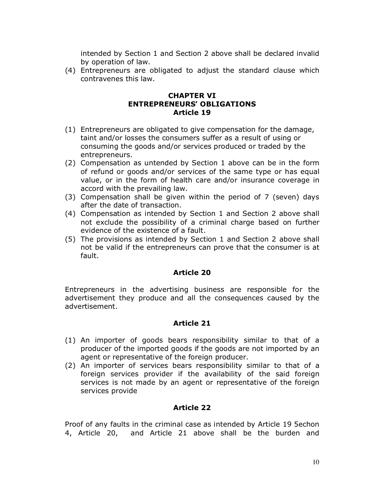intended by Section 1 and Section 2 above shall be declared invalid by operation of law.

(4) Entrepreneurs are obligated to adjust the standard clause which contravenes this law.

## **CHAPTER VI ENTREPRENEURS' OBLIGATIONS Article 19**

- (1) Entrepreneurs are obligated to give compensation for the damage, taint and/or losses the consumers suffer as a result of using or consuming the goods and/or services produced or traded by the entrepreneurs.
- (2) Compensation as untended by Section 1 above can be in the form of refund or goods and/or services of the same type or has equal value, or in the form of health care and/or insurance coverage in accord with the prevailing law.
- (3) Compensation shall be given within the period of 7 (seven) days after the date of transaction.
- (4) Compensation as intended by Section 1 and Section 2 above shall not exclude the possibility of a criminal charge based on further evidence of the existence of a fault.
- (5) The provisions as intended by Section 1 and Section 2 above shall not be valid if the entrepreneurs can prove that the consumer is at fault.

## **Article 20**

Entrepreneurs in the advertising business are responsible for the advertisement they produce and all the consequences caused by the advertisement.

## **Article 21**

- (1) An importer of goods bears responsibility similar to that of a producer of the imported goods if the goods are not imported by an agent or representative of the foreign producer.
- (2) An importer of services bears responsibility similar to that of a foreign services provider if the availability of the said foreign services is not made by an agent or representative of the foreign services provide

## **Article 22**

Proof of any faults in the criminal case as intended by Article 19 5echon 4, Article 20, and Article 21 above shall be the burden and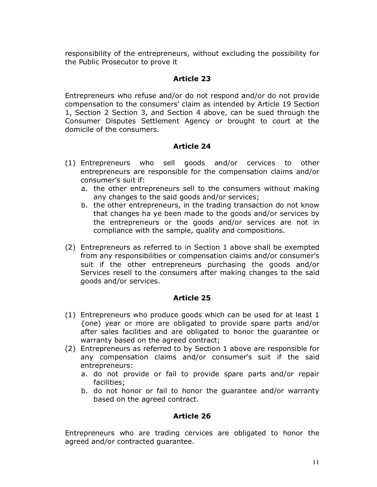responsibility of the entrepreneurs, without excluding the possibility for the Public Prosecutor to prove it

## **Article 23**

Entrepreneurs who refuse and/or do not respond and/or do not provide compensation to the consumers' claim as intended by Article 19 Section 1, Section 2 Section 3, and Section 4 above, can be sued through the Consumer Disputes Settlement Agency or brought to court at the domicile of the consumers.

## **Article 24**

- (1) Entrepreneurs who sell goods and/or cervices to other entrepreneurs are responsible for the compensation claims and/or consumer's suit if:
	- a. the other entrepreneurs sell to the consumers without making any changes to the said goods and/or services;
	- b. the other entrepreneurs, in the trading transaction do not know that changes ha ye been made to the goods and/or services by the entrepreneurs or the goods and/or services are not in compliance with the sample, quality and compositions.
- (2) Entrepreneurs as referred to in Section 1 above shall be exempted from any responsibilities or compensation claims and/or consumer's suit if the other entrepreneurs purchasing the goods and/or Services resell to the consumers after making changes to the said goods and/or services.

## **Article 25**

- (1) Entrepreneurs who produce goods which can be used for at least 1 {one) year or more are obligated to provide spare parts and/or after sales facilities and are obligated to honor the guarantee or warranty based on the agreed contract;
- (2) Entrepreneurs as referred to by Section 1 above are responsible for any compensation claims and/or consumer's suit if the said entrepreneurs:
	- a. do not provide or fail to provide spare parts and/or repair facilities;
	- b. do not honor or fail to honor the guarantee and/or warranty based on the agreed contract.

## **Article 26**

Entrepreneurs who are trading cervices are obligated to honor the agreed and/or contracted guarantee.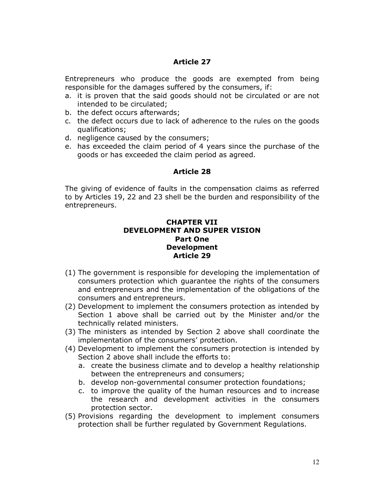Entrepreneurs who produce the goods are exempted from being responsible for the damages suffered by the consumers, if:

- a. it is proven that the said goods should not be circulated or are not intended to be circulated;
- b. the defect occurs afterwards;
- c. the defect occurs due to lack of adherence to the rules on the goods qualifications;
- d. negligence caused by the consumers;
- e. has exceeded the claim period of 4 years since the purchase of the goods or has exceeded the claim period as agreed.

## **Article 28**

The giving of evidence of faults in the compensation claims as referred to by Articles 19, 22 and 23 shell be the burden and responsibility of the entrepreneurs.

### **CHAPTER VII DEVELOPMENT AND SUPER VISION Part One Development Article 29**

- (1) The government is responsible for developing the implementation of consumers protection which guarantee the rights of the consumers and entrepreneurs and the implementation of the obligations of the consumers and entrepreneurs.
- (2) Development to implement the consumers protection as intended by Section 1 above shall be carried out by the Minister and/or the technically related ministers.
- (3) The ministers as intended by Section 2 above shall coordinate the implementation of the consumers' protection.
- (4) Development to implement the consumers protection is intended by Section 2 above shall include the efforts to:
	- a. create the business climate and to develop a healthy relationship between the entrepreneurs and consumers;
	- b. develop non-governmental consumer protection foundations;
	- c. to improve the quality of the human resources and to increase the research and development activities in the consumers protection sector.
- (5) Provisions regarding the development to implement consumers protection shall be further regulated by Government Regulations.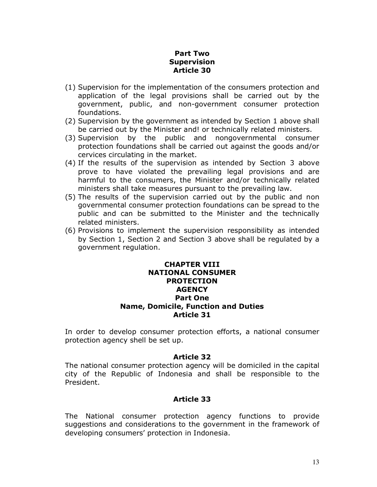## **Part Two Supervision Article 30**

- (1) Supervision for the implementation of the consumers protection and application of the legal provisions shall be carried out by the government, public, and non-government consumer protection foundations.
- (2) Supervision by the government as intended by Section 1 above shall be carried out by the Minister and! or technically related ministers.
- (3) Supervision by the public and nongovernmental consumer protection foundations shall be carried out against the goods and/or cervices circulating in the market.
- (4) If the results of the supervision as intended by Section 3 above prove to have violated the prevailing legal provisions and are harmful to the consumers, the Minister and/or technically related ministers shall take measures pursuant to the prevailing law.
- (5) The results of the supervision carried out by the public and non governmental consumer protection foundations can be spread to the public and can be submitted to the Minister and the technically related ministers.
- (6) Provisions to implement the supervision responsibility as intended by Section 1, Section 2 and Section 3 above shall be regulated by a government regulation.

#### **CHAPTER VIII NATIONAL CONSUMER PROTECTION AGENCY Part One Name, Domicile, Function and Duties Article 31**

In order to develop consumer protection efforts, a national consumer protection agency shell be set up.

#### **Article 32**

The national consumer protection agency will be domiciled in the capital city of the Republic of Indonesia and shall be responsible to the President.

## **Article 33**

The National consumer protection agency functions to provide suggestions and considerations to the government in the framework of developing consumers' protection in Indonesia.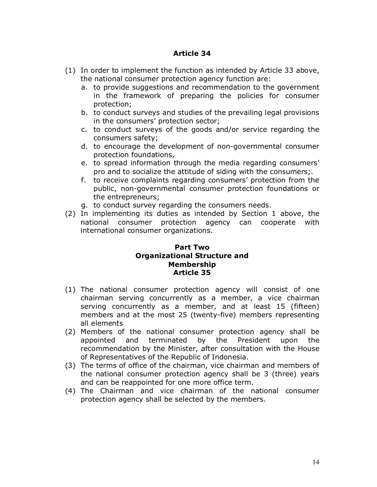- (1) In order to implement the function as intended by Article 33 above, the national consumer protection agency function are:
	- a. to provide suggestions and recommendation to the government in the framework of preparing the policies for consumer protection;
	- b. to conduct surveys and studies of the prevailing legal provisions in the consumers' protection sector;
	- c. to conduct surveys of the goods and/or service regarding the consumers safety;
	- d. to encourage the development of non-governmental consumer protection foundations,
	- e. to spread information through the media regarding consumers' pro and to socialize the attitude of siding with the consumers;.
	- f. to receive complaints regarding consumers' protection from the public, non-governmental consumer protection foundations or the entrepreneurs;
	- g. to conduct survey regarding the consumers needs.
- (2) In implementing its duties as intended by Section 1 above, the national consumer protection agency can cooperate with international consumer organizations.

#### **Part Two Organizational Structure and Membership Article 35**

- (1) The national consumer protection agency will consist of one chairman serving concurrently as a member, a vice chairman serving concurrently as a member, and at least 15 (fifteen) members and at the most 25 (twenty-five) members representing all elements
- (2) Members of the national consumer protection agency shall be appointed and terminated by the President upon the recommendation by the Minister, after consultation with the House of Representatives of the Republic of Indonesia.
- (3) The terms of office of the chairman, vice chairman and members of the national consumer protection agency shall be 3 (three) years and can be reappointed for one more office term.
- (4) The Chairman and vice chairman of the national consumer protection agency shall be selected by the members.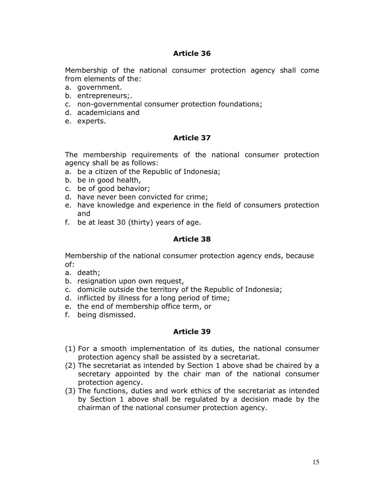Membership of the national consumer protection agency shall come from elements of the:

- a. government.
- b. entrepreneurs;.
- c. non-governmental consumer protection foundations;
- d. academicians and
- e. experts.

## **Article 37**

The membership requirements of the national consumer protection agency shall be as follows:

- a. be a citizen of the Republic of Indonesia;
- b. be in good health,
- c. be of good behavior;
- d. have never been convicted for crime;
- e. have knowledge and experience in the field of consumers protection and
- f. be at least 30 (thirty) years of age.

## **Article 38**

Membership of the national consumer protection agency ends, because of:

- a. death;
- b. resignation upon own request,
- c. domicile outside the territory of the Republic of Indonesia;
- d. inflicted by illness for a long period of time;
- e. the end of membership office term, or
- f. being dismissed.

- (1) For a smooth implementation of its duties, the national consumer protection agency shall be assisted by a secretariat.
- (2) The secretariat as intended by Section 1 above shad be chaired by a secretary appointed by the chair man of the national consumer protection agency.
- (3) The functions, duties and work ethics of the secretariat as intended by Section 1 above shall be regulated by a decision made by the chairman of the national consumer protection agency.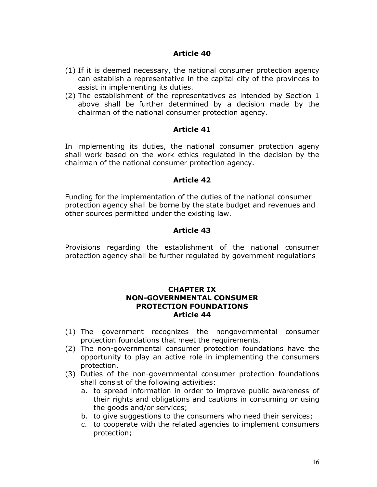- (1) If it is deemed necessary, the national consumer protection agency can establish a representative in the capital city of the provinces to assist in implementing its duties.
- (2) The establishment of the representatives as intended by Section 1 above shall be further determined by a decision made by the chairman of the national consumer protection agency.

#### **Article 41**

In implementing its duties, the national consumer protection ageny shall work based on the work ethics regulated in the decision by the chairman of the national consumer protection agency.

#### **Article 42**

Funding for the implementation of the duties of the national consumer protection agency shall be borne by the state budget and revenues and other sources permitted under the existing law.

### **Article 43**

Provisions regarding the establishment of the national consumer protection agency shall be further regulated by government regulations

#### **CHAPTER IX NON-GOVERNMENTAL CONSUMER PROTECTION FOUNDATIONS Article 44**

- (1) The government recognizes the nongovernmental consumer protection foundations that meet the requirements.
- (2) The non-governmental consumer protection foundations have the opportunity to play an active role in implementing the consumers protection.
- (3) Duties of the non-governmental consumer protection foundations shall consist of the following activities:
	- a. to spread information in order to improve public awareness of their rights and obligations and cautions in consuming or using the goods and/or services;
	- b. to give suggestions to the consumers who need their services;
	- c. to cooperate with the related agencies to implement consumers protection;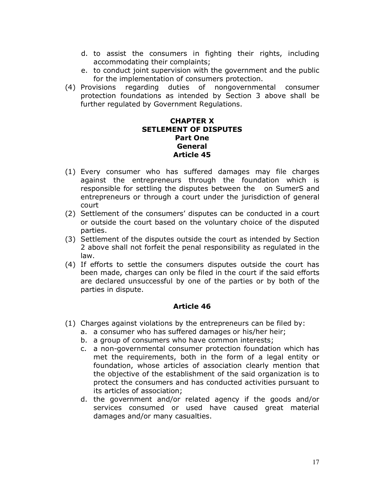- d. to assist the consumers in fighting their rights, including accommodating their complaints;
- e. to conduct joint supervision with the government and the public for the implementation of consumers protection.
- (4) Provisions regarding duties of nongovernmental consumer protection foundations as intended by Section 3 above shall be further regulated by Government Regulations.

#### **CHAPTER X SETLEMENT OF DISPUTES Part One General Article 45**

- (1) Every consumer who has suffered damages may file charges against the entrepreneurs through the foundation which is responsible for settling the disputes between the on SumerS and entrepreneurs or through a court under the jurisdiction of general court
- (2) Settlement of the consumers' disputes can be conducted in a court or outside the court based on the voluntary choice of the disputed parties.
- (3) Settlement of the disputes outside the court as intended by Section 2 above shall not forfeit the penal responsibility as regulated in the law.
- (4) If efforts to settle the consumers disputes outside the court has been made, charges can only be filed in the court if the said efforts are declared unsuccessful by one of the parties or by both of the parties in dispute.

- (1) Charges against violations by the entrepreneurs can be filed by:
	- a. a consumer who has suffered damages or his/her heir;
	- b. a group of consumers who have common interests;
	- c. a non-governmental consumer protection foundation which has met the requirements, both in the form of a legal entity or foundation, whose articles of association clearly mention that the objective of the establishment of the said organization is to protect the consumers and has conducted activities pursuant to its articles of association;
	- d. the government and/or related agency if the goods and/or services consumed or used have caused great material damages and/or many casualties.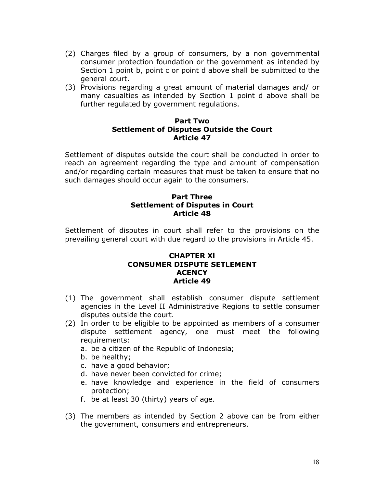- (2) Charges filed by a group of consumers, by a non governmental consumer protection foundation or the government as intended by Section 1 point b, point c or point d above shall be submitted to the general court.
- (3) Provisions regarding a great amount of material damages and/ or many casualties as intended by Section 1 point d above shall be further regulated by government regulations.

#### **Part Two Settlement of Disputes Outside the Court Article 47**

Settlement of disputes outside the court shall be conducted in order to reach an agreement regarding the type and amount of compensation and/or regarding certain measures that must be taken to ensure that no such damages should occur again to the consumers.

## **Part Three Settlement of Disputes in Court Article 48**

Settlement of disputes in court shall refer to the provisions on the prevailing general court with due regard to the provisions in Article 45.

#### **CHAPTER Xl CONSUMER DISPUTE SETLEMENT ACENCY Article 49**

- (1) The government shall establish consumer dispute settlement agencies in the Level II Administrative Regions to settle consumer disputes outside the court.
- (2) In order to be eligible to be appointed as members of a consumer dispute settlement agency, one must meet the following requirements:
	- a. be a citizen of the Republic of Indonesia;
	- b. be healthy;
	- c. have a good behavior;
	- d. have never been convicted for crime;
	- e. have knowledge and experience in the field of consumers protection;
	- f. be at least 30 (thirty) years of age.
- (3) The members as intended by Section 2 above can be from either the government, consumers and entrepreneurs.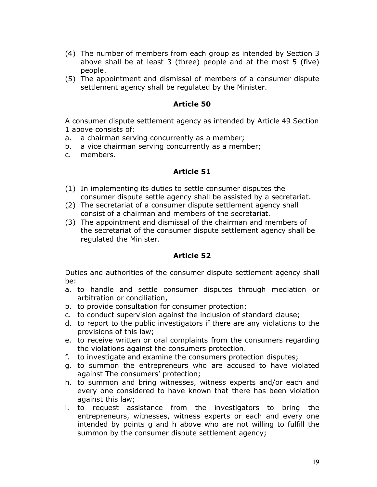- (4) The number of members from each group as intended by Section 3 above shall be at least 3 (three) people and at the most 5 (five) people.
- (5) The appointment and dismissal of members of a consumer dispute settlement agency shall be regulated by the Minister.

A consumer dispute settlement agency as intended by Article 49 Section 1 above consists of:

- a. a chairman serving concurrently as a member;
- b. a vice chairman serving concurrently as a member;
- c. members.

## **Article 51**

- (1) In implementing its duties to settle consumer disputes the consumer dispute settle agency shall be assisted by a secretariat.
- (2) The secretariat of a consumer dispute settlement agency shall consist of a chairman and members of the secretariat.
- (3) The appointment and dismissal of the chairman and members of the secretariat of the consumer dispute settlement agency shall be regulated the Minister.

## **Article 52**

Duties and authorities of the consumer dispute settlement agency shall be:

- a. to handle and settle consumer disputes through mediation or arbitration or conciliation,
- b. to provide consultation for consumer protection;
- c. to conduct supervision against the inclusion of standard clause;
- d. to report to the public investigators if there are any violations to the provisions of this law;
- e. to receive written or oral complaints from the consumers regarding the violations against the consumers protection.
- f. to investigate and examine the consumers protection disputes;
- g. to summon the entrepreneurs who are accused to have violated against The consumers' protection;
- h. to summon and bring witnesses, witness experts and/or each and every one considered to have known that there has been violation against this law;
- i. to request assistance from the investigators to bring the entrepreneurs, witnesses, witness experts or each and every one intended by points g and h above who are not willing to fulfill the summon by the consumer dispute settlement agency;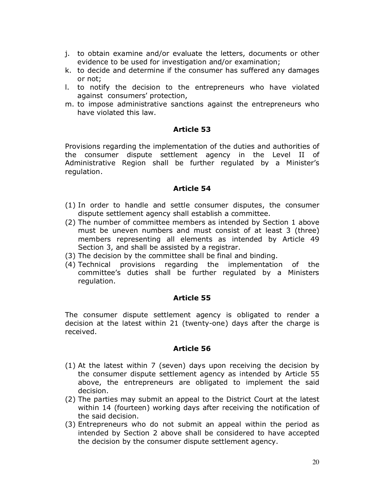- j. to obtain examine and/or evaluate the letters, documents or other evidence to be used for investigation and/or examination;
- k. to decide and determine if the consumer has suffered any damages or not;
- l. to notify the decision to the entrepreneurs who have violated against consumers' protection,
- m. to impose administrative sanctions against the entrepreneurs who have violated this law.

Provisions regarding the implementation of the duties and authorities of the consumer dispute settlement agency in the Level II of Administrative Region shall be further regulated by a Minister's regulation.

### **Article 54**

- (1) In order to handle and settle consumer disputes, the consumer dispute settlement agency shall establish a committee.
- (2) The number of committee members as intended by Section 1 above must be uneven numbers and must consist of at least 3 (three) members representing all elements as intended by Article 49 Section 3, and shall be assisted by a registrar.
- (3) The decision by the committee shall be final and binding.
- (4) Technical provisions regarding the implementation of the committee's duties shall be further regulated by a Ministers regulation.

## **Article 55**

The consumer dispute settlement agency is obligated to render a decision at the latest within 21 (twenty-one) days after the charge is received.

- (1) At the latest within 7 (seven) days upon receiving the decision by the consumer dispute settlement agency as intended by Article 55 above, the entrepreneurs are obligated to implement the said decision.
- (2) The parties may submit an appeal to the District Court at the latest within 14 (fourteen) working days after receiving the notification of the said decision.
- (3) Entrepreneurs who do not submit an appeal within the period as intended by Section 2 above shall be considered to have accepted the decision by the consumer dispute settlement agency.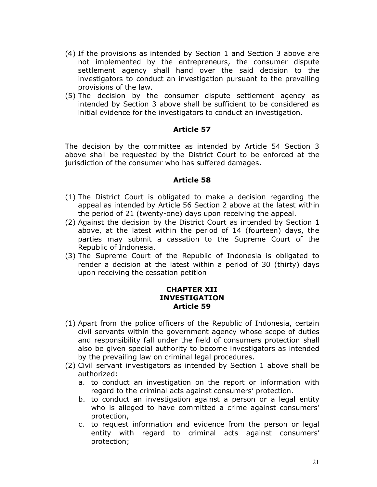- (4) If the provisions as intended by Section 1 and Section 3 above are not implemented by the entrepreneurs, the consumer dispute settlement agency shall hand over the said decision to the investigators to conduct an investigation pursuant to the prevailing provisions of the law.
- (5) The decision by the consumer dispute settlement agency as intended by Section 3 above shall be sufficient to be considered as initial evidence for the investigators to conduct an investigation.

The decision by the committee as intended by Article 54 Section 3 above shall be requested by the District Court to be enforced at the jurisdiction of the consumer who has suffered damages.

#### **Article 58**

- (1) The District Court is obligated to make a decision regarding the appeal as intended by Article 56 Section 2 above at the latest within the period of 21 (twenty-one) days upon receiving the appeal.
- (2) Against the decision by the District Court as intended by Section 1 above, at the latest within the period of 14 (fourteen) days, the parties may submit a cassation to the Supreme Court of the Republic of Indonesia.
- (3) The Supreme Court of the Republic of Indonesia is obligated to render a decision at the latest within a period of 30 (thirty) days upon receiving the cessation petition

### **CHAPTER XII INVESTIGATION Article 59**

- (1) Apart from the police officers of the Republic of Indonesia, certain civil servants within the government agency whose scope of duties and responsibility fall under the field of consumers protection shall also be given special authority to become investigators as intended by the prevailing law on criminal legal procedures.
- (2) Civil servant investigators as intended by Section 1 above shall be authorized:
	- a. to conduct an investigation on the report or information with regard to the criminal acts against consumers' protection.
	- b. to conduct an investigation against a person or a legal entity who is alleged to have committed a crime against consumers' protection,
	- c. to request information and evidence from the person or legal entity with regard to criminal acts against consumers' protection;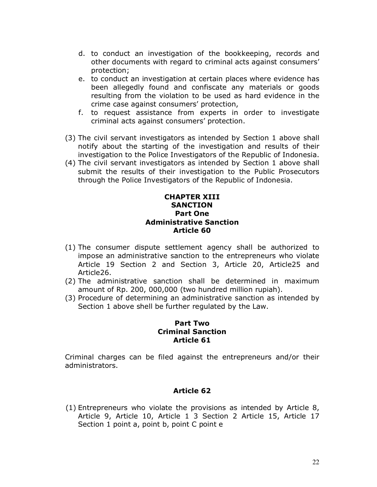- d. to conduct an investigation of the bookkeeping, records and other documents with regard to criminal acts against consumers' protection;
- e. to conduct an investigation at certain places where evidence has been allegedly found and confiscate any materials or goods resulting from the violation to be used as hard evidence in the crime case against consumers' protection,
- f. to request assistance from experts in order to investigate criminal acts against consumers' protection.
- (3) The civil servant investigators as intended by Section 1 above shall notify about the starting of the investigation and results of their investigation to the Police Investigators of the Republic of Indonesia.
- (4) The civil servant investigators as intended by Section 1 above shall submit the results of their investigation to the Public Prosecutors through the Police Investigators of the Republic of Indonesia.

## **CHAPTER XIII SANCTION Part One Administrative Sanction Article 60**

- (1) The consumer dispute settlement agency shall be authorized to impose an administrative sanction to the entrepreneurs who violate Article 19 Section 2 and Section 3, Article 20, Article25 and Article26.
- (2) The administrative sanction shall be determined in maximum amount of Rp. 200, 000,000 (two hundred million rupiah).
- (3) Procedure of determining an administrative sanction as intended by Section 1 above shell be further regulated by the Law.

#### **Part Two Criminal Sanction Article 61**

Criminal charges can be filed against the entrepreneurs and/or their administrators.

## **Article 62**

(1) Entrepreneurs who violate the provisions as intended by Article 8, Article 9, Article 10, Article 1 3 Section 2 Article 15, Article 17 Section 1 point a, point b, point C point e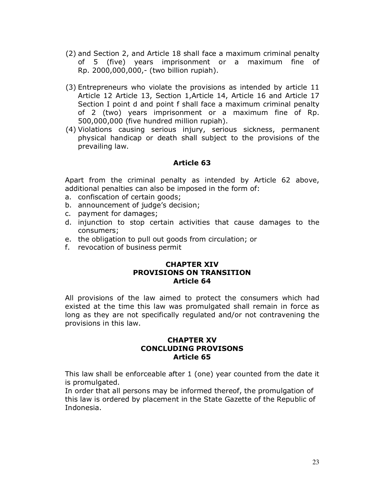- (2) and Section 2, and Article 18 shall face a maximum criminal penalty of 5 (five) years imprisonment or a maximum fine of Rp. 2000,000,000,- (two billion rupiah).
- (3) Entrepreneurs who violate the provisions as intended by article 11 Article 12 Article 13, Section 1,Article 14, Article 16 and Article 17 Section I point d and point f shall face a maximum criminal penalty of 2 (two) years imprisonment or a maximum fine of Rp. 500,000,000 (five hundred million rupiah).
- (4) Violations causing serious injury, serious sickness, permanent physical handicap or death shall subject to the provisions of the prevailing law.

Apart from the criminal penalty as intended by Article 62 above, additional penalties can also be imposed in the form of:

- a. confiscation of certain goods;
- b. announcement of judge's decision;
- c. payment for damages;
- d. injunction to stop certain activities that cause damages to the consumers;
- e. the obligation to pull out goods from circulation; or
- f. revocation of business permit

#### **CHAPTER XIV PROVISIONS ON TRANSITION Article 64**

All provisions of the law aimed to protect the consumers which had existed at the time this law was promulgated shall remain in force as long as they are not specifically regulated and/or not contravening the provisions in this law.

### **CHAPTER XV CONCLUDING PROVISONS Article 65**

This law shall be enforceable after 1 (one) year counted from the date it is promulgated.

In order that all persons may be informed thereof, the promulgation of this law is ordered by placement in the State Gazette of the Republic of Indonesia.